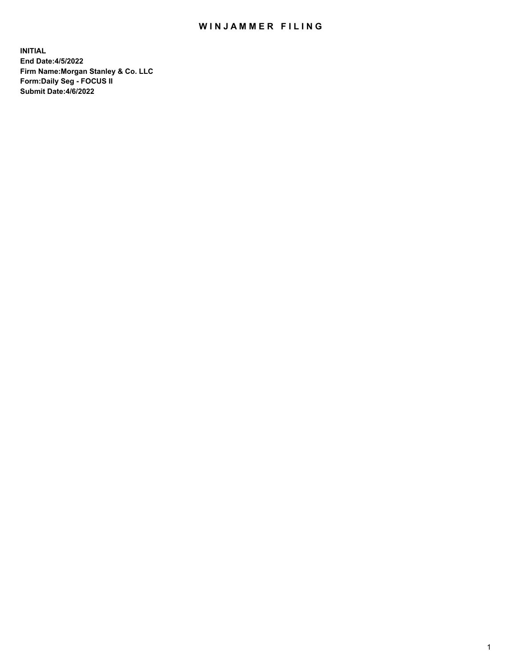## WIN JAMMER FILING

**INITIAL End Date:4/5/2022 Firm Name:Morgan Stanley & Co. LLC Form:Daily Seg - FOCUS II Submit Date:4/6/2022**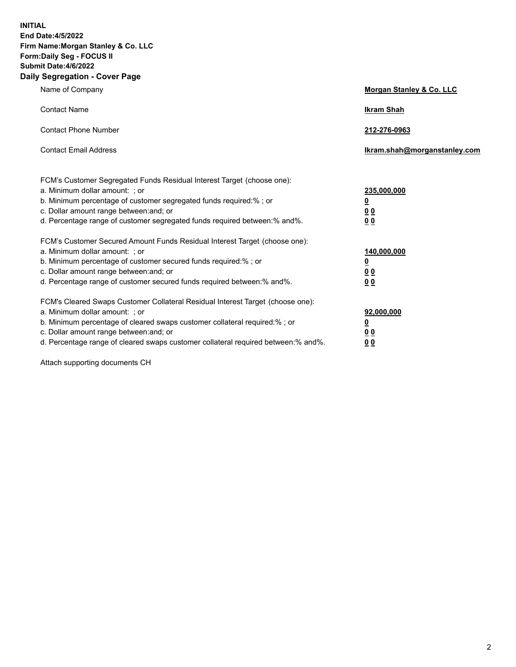**INITIAL End Date:4/5/2022 Firm Name:Morgan Stanley & Co. LLC Form:Daily Seg - FOCUS II Submit Date:4/6/2022 Daily Segregation - Cover Page**

| Name of Company                                                                                                                                                                                                                                                                                                                | <b>Morgan Stanley &amp; Co. LLC</b>                    |
|--------------------------------------------------------------------------------------------------------------------------------------------------------------------------------------------------------------------------------------------------------------------------------------------------------------------------------|--------------------------------------------------------|
| <b>Contact Name</b>                                                                                                                                                                                                                                                                                                            | <b>Ikram Shah</b>                                      |
| <b>Contact Phone Number</b>                                                                                                                                                                                                                                                                                                    | 212-276-0963                                           |
| <b>Contact Email Address</b>                                                                                                                                                                                                                                                                                                   | Ikram.shah@morganstanley.com                           |
| FCM's Customer Segregated Funds Residual Interest Target (choose one):<br>a. Minimum dollar amount: : or<br>b. Minimum percentage of customer segregated funds required:%; or<br>c. Dollar amount range between: and; or<br>d. Percentage range of customer segregated funds required between:% and%.                          | 235,000,000<br><u>0</u><br><u>00</u><br><u>00</u>      |
| FCM's Customer Secured Amount Funds Residual Interest Target (choose one):<br>a. Minimum dollar amount: ; or<br>b. Minimum percentage of customer secured funds required:%; or<br>c. Dollar amount range between: and; or<br>d. Percentage range of customer secured funds required between:% and%.                            | 140,000,000<br><u>0</u><br><u>00</u><br>0 <sub>0</sub> |
| FCM's Cleared Swaps Customer Collateral Residual Interest Target (choose one):<br>a. Minimum dollar amount: ; or<br>b. Minimum percentage of cleared swaps customer collateral required:% ; or<br>c. Dollar amount range between: and; or<br>d. Percentage range of cleared swaps customer collateral required between:% and%. | 92,000,000<br><u>0</u><br><u>00</u><br>00              |

Attach supporting documents CH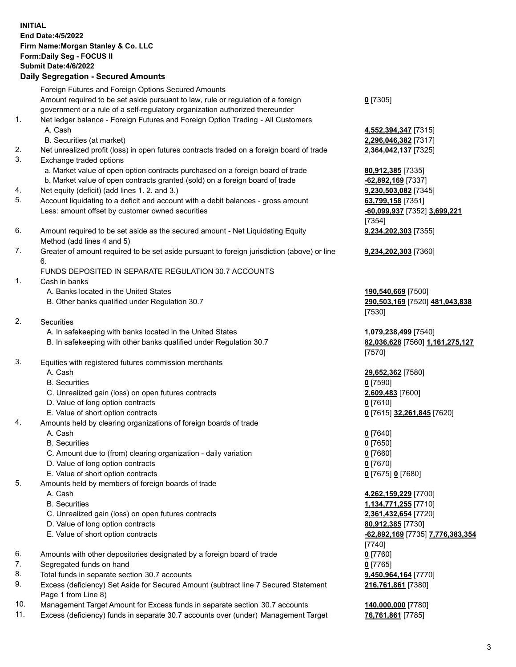| <b>INITIAL</b> | <b>End Date:4/5/2022</b><br>Firm Name: Morgan Stanley & Co. LLC<br>Form: Daily Seg - FOCUS II<br><b>Submit Date: 4/6/2022</b><br><b>Daily Segregation - Secured Amounts</b>                                             |                                                                                     |
|----------------|-------------------------------------------------------------------------------------------------------------------------------------------------------------------------------------------------------------------------|-------------------------------------------------------------------------------------|
|                | Foreign Futures and Foreign Options Secured Amounts<br>Amount required to be set aside pursuant to law, rule or regulation of a foreign<br>government or a rule of a self-regulatory organization authorized thereunder | $0$ [7305]                                                                          |
| 1.             | Net ledger balance - Foreign Futures and Foreign Option Trading - All Customers<br>A. Cash                                                                                                                              | 4,552,394,347 [7315]                                                                |
| 2.<br>3.       | B. Securities (at market)<br>Net unrealized profit (loss) in open futures contracts traded on a foreign board of trade<br>Exchange traded options                                                                       | 2,296,046,382 [7317]<br>2,364,042,137 [7325]                                        |
| 4.             | a. Market value of open option contracts purchased on a foreign board of trade<br>b. Market value of open contracts granted (sold) on a foreign board of trade<br>Net equity (deficit) (add lines 1. 2. and 3.)         | 80,912,385 [7335]<br>$-62,892,169$ [7337]                                           |
| 5.             | Account liquidating to a deficit and account with a debit balances - gross amount<br>Less: amount offset by customer owned securities                                                                                   | 9,230,503,082 [7345]<br>63,799,158 [7351]<br>-60,099,937 [7352] 3,699,221<br>[7354] |
| 6.             | Amount required to be set aside as the secured amount - Net Liquidating Equity<br>Method (add lines 4 and 5)                                                                                                            | 9,234,202,303 [7355]                                                                |
| 7.             | Greater of amount required to be set aside pursuant to foreign jurisdiction (above) or line<br>6.                                                                                                                       | 9,234,202,303 [7360]                                                                |
| 1.             | FUNDS DEPOSITED IN SEPARATE REGULATION 30.7 ACCOUNTS<br>Cash in banks                                                                                                                                                   |                                                                                     |
|                | A. Banks located in the United States<br>B. Other banks qualified under Regulation 30.7                                                                                                                                 | 190,540,669 [7500]<br>290,503,169 [7520] 481,043,838<br>[7530]                      |
| 2.             | Securities                                                                                                                                                                                                              |                                                                                     |
|                | A. In safekeeping with banks located in the United States<br>B. In safekeeping with other banks qualified under Regulation 30.7                                                                                         | 1,079,238,499 [7540]<br>82,036,628 [7560] 1,161,275,127<br>[7570]                   |
| 3.             | Equities with registered futures commission merchants                                                                                                                                                                   |                                                                                     |
|                | A. Cash                                                                                                                                                                                                                 | 29,652,362 [7580]                                                                   |
|                | <b>B.</b> Securities<br>C. Unrealized gain (loss) on open futures contracts                                                                                                                                             | $0$ [7590]<br>2,609,483 [7600]                                                      |
|                | D. Value of long option contracts                                                                                                                                                                                       | $0$ [7610]                                                                          |
|                | E. Value of short option contracts                                                                                                                                                                                      | <u>0</u> [7615] 32,261,845 [7620]                                                   |
| 4.             | Amounts held by clearing organizations of foreign boards of trade                                                                                                                                                       |                                                                                     |
|                | A. Cash                                                                                                                                                                                                                 | $0$ [7640]                                                                          |
|                | <b>B.</b> Securities                                                                                                                                                                                                    | $0$ [7650]                                                                          |
|                | C. Amount due to (from) clearing organization - daily variation                                                                                                                                                         | $0$ [7660]                                                                          |
|                | D. Value of long option contracts                                                                                                                                                                                       | 0 <sup>[7670]</sup>                                                                 |
| 5.             | E. Value of short option contracts                                                                                                                                                                                      | 0 [7675] 0 [7680]                                                                   |
|                | Amounts held by members of foreign boards of trade<br>A. Cash                                                                                                                                                           | 4,262,159,229 [7700]                                                                |
|                | <b>B.</b> Securities                                                                                                                                                                                                    | 1,134,771,255 [7710]                                                                |
|                | C. Unrealized gain (loss) on open futures contracts                                                                                                                                                                     | 2,361,432,654 [7720]                                                                |
|                | D. Value of long option contracts                                                                                                                                                                                       | 80,912,385 [7730]                                                                   |
|                | E. Value of short option contracts                                                                                                                                                                                      | -62,892,169 [7735] 7,776,383,354<br>[7740]                                          |
| 6.             | Amounts with other depositories designated by a foreign board of trade                                                                                                                                                  | $0$ [7760]                                                                          |
| 7.             | Segregated funds on hand                                                                                                                                                                                                | $0$ [7765]                                                                          |
| 8.             | Total funds in separate section 30.7 accounts                                                                                                                                                                           | 9,450,964,164 [7770]                                                                |
| 9.             | Excess (deficiency) Set Aside for Secured Amount (subtract line 7 Secured Statement                                                                                                                                     | 216,761,861 [7380]                                                                  |

- 9. Excess (deficiency) Set Aside for Secured Amount (subtract line 7 Secured Statement Page 1 from Line 8)
- 10. Management Target Amount for Excess funds in separate section 30.7 accounts **140,000,000** [7780]
- 11. Excess (deficiency) funds in separate 30.7 accounts over (under) Management Target **76,761,861** [7785]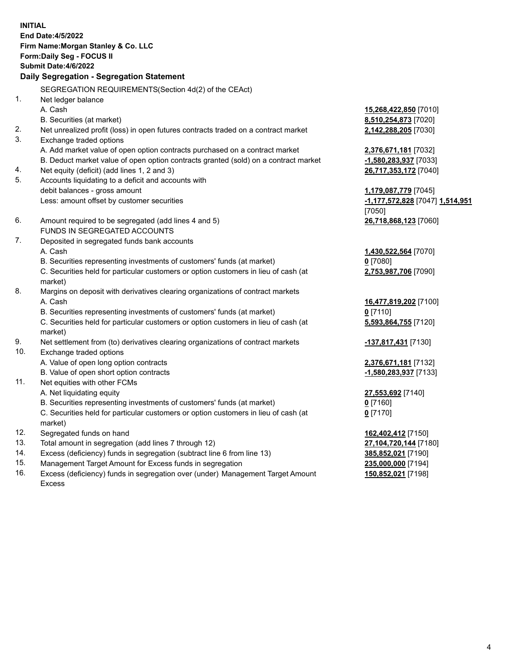**INITIAL End Date:4/5/2022 Firm Name:Morgan Stanley & Co. LLC Form:Daily Seg - FOCUS II Submit Date:4/6/2022 Daily Segregation - Segregation Statement** SEGREGATION REQUIREMENTS(Section 4d(2) of the CEAct) 1. Net ledger balance A. Cash **15,268,422,850** [7010] B. Securities (at market) **8,510,254,873** [7020] 2. Net unrealized profit (loss) in open futures contracts traded on a contract market **2,142,288,205** [7030] 3. Exchange traded options A. Add market value of open option contracts purchased on a contract market **2,376,671,181** [7032] B. Deduct market value of open option contracts granted (sold) on a contract market **-1,580,283,937** [7033] 4. Net equity (deficit) (add lines 1, 2 and 3) **26,717,353,172** [7040] 5. Accounts liquidating to a deficit and accounts with debit balances - gross amount **1,179,087,779** [7045] Less: amount offset by customer securities **-1,177,572,828** [7047] **1,514,951** [7050] 6. Amount required to be segregated (add lines 4 and 5) **26,718,868,123** [7060] FUNDS IN SEGREGATED ACCOUNTS 7. Deposited in segregated funds bank accounts A. Cash **1,430,522,564** [7070] B. Securities representing investments of customers' funds (at market) **0** [7080] C. Securities held for particular customers or option customers in lieu of cash (at market) **2,753,987,706** [7090] 8. Margins on deposit with derivatives clearing organizations of contract markets A. Cash **16,477,819,202** [7100] B. Securities representing investments of customers' funds (at market) **0** [7110] C. Securities held for particular customers or option customers in lieu of cash (at market) **5,593,864,755** [7120] 9. Net settlement from (to) derivatives clearing organizations of contract markets **-137,817,431** [7130] 10. Exchange traded options A. Value of open long option contracts **2,376,671,181** [7132] B. Value of open short option contracts **-1,580,283,937** [7133] 11. Net equities with other FCMs A. Net liquidating equity **27,553,692** [7140] B. Securities representing investments of customers' funds (at market) **0** [7160] C. Securities held for particular customers or option customers in lieu of cash (at market) **0** [7170] 12. Segregated funds on hand **162,402,412** [7150] 13. Total amount in segregation (add lines 7 through 12) **27,104,720,144** [7180] 14. Excess (deficiency) funds in segregation (subtract line 6 from line 13) **385,852,021** [7190] 15. Management Target Amount for Excess funds in segregation **235,000,000** [7194]

16. Excess (deficiency) funds in segregation over (under) Management Target Amount Excess

**150,852,021** [7198]